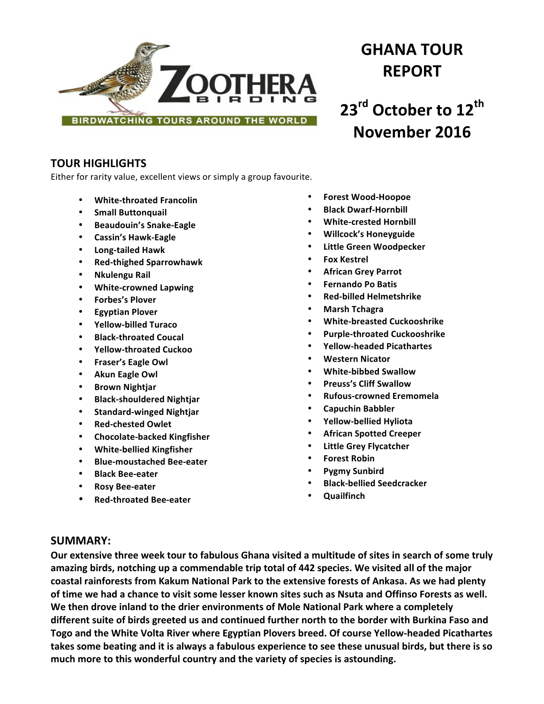

# **GHANA TOUR REPORT**

**23rd October to 12th November 2016**

# **TOUR HIGHLIGHTS**

Either for rarity value, excellent views or simply a group favourite.

- **White-throated Francolin**
- **Small Buttonquail**
- **Beaudouin's Snake-Eagle**
- **Cassin's Hawk-Eagle**
- **Long-tailed Hawk**
- **Red-thighed Sparrowhawk**
- **Nkulengu Rail**
- **White-crowned Lapwing**
- **Forbes's Plover**
- **Egyptian Plover**
- **Yellow-billed Turaco**
- **Black-throated Coucal**
- **Yellow-throated Cuckoo**
- **Fraser's Eagle Owl**
- **Akun Eagle Owl**
- **Brown Nightjar**
- **Black-shouldered Nightjar**
- **Standard-winged Nightjar**
- **Red-chested Owlet**
- **Chocolate-backed Kingfisher**
- **White-bellied Kingfisher**
- **Blue-moustached Bee-eater**
- **Black Bee-eater**
- **Rosy Bee-eater**
- **Red-throated Bee-eater**
- **Forest Wood-Hoopoe**
- **Black Dwarf-Hornbill**
- **White-crested Hornbill**
- **Willcock's Honeyguide**
- **Little Green Woodpecker**
- **Fox Kestrel**
- **African Grey Parrot**
- **Fernando Po Batis**
- **Red-billed Helmetshrike**
- **Marsh Tchagra**
- **White-breasted Cuckooshrike**
- **Purple-throated Cuckooshrike**
- **Yellow-headed Picathartes**
- **Western Nicator**
- **White-bibbed Swallow**
- **Preuss's Cliff Swallow**
- **Rufous-crowned Eremomela**
- **Capuchin Babbler**
- **Yellow-bellied Hyliota**
- **African Spotted Creeper**
- **Little Grey Flycatcher**
- **Forest Robin**
- **Pygmy Sunbird**
- **Black-bellied Seedcracker**
- **Quailfinch**

# **SUMMARY:**

Our extensive three week tour to fabulous Ghana visited a multitude of sites in search of some truly amazing birds, notching up a commendable trip total of 442 species. We visited all of the major coastal rainforests from Kakum National Park to the extensive forests of Ankasa. As we had plenty of time we had a chance to visit some lesser known sites such as Nsuta and Offinso Forests as well. We then drove inland to the drier environments of Mole National Park where a completely different suite of birds greeted us and continued further north to the border with Burkina Faso and **Togo and the White Volta River where Egyptian Plovers breed. Of course Yellow-headed Picathartes** takes some beating and it is always a fabulous experience to see these unusual birds, but there is so much more to this wonderful country and the variety of species is astounding.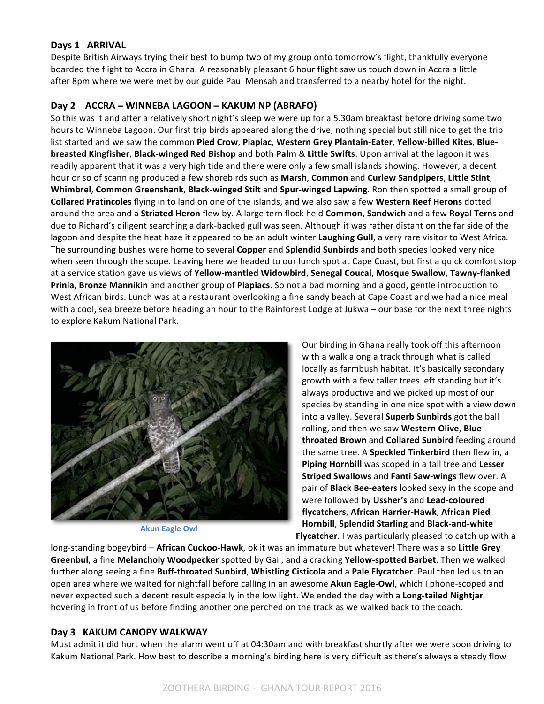#### **Days 1 ARRIVAL**

Despite British Airways trying their best to bump two of my group onto tomorrow's flight, thankfully everyone boarded the flight to Accra in Ghana. A reasonably pleasant 6 hour flight saw us touch down in Accra a little after 8pm where we were met by our guide Paul Mensah and transferred to a nearby hotel for the night.

#### **Day 2 ACCRA – WINNEBA LAGOON – KAKUM NP (ABRAFO)**

So this was it and after a relatively short night's sleep we were up for a 5.30am breakfast before driving some two hours to Winneba Lagoon. Our first trip birds appeared along the drive, nothing special but still nice to get the trip list started and we saw the common Pied Crow, Piapiac, Western Grey Plantain-Eater, Yellow-billed Kites, Blue**breasted Kingfisher, Black-winged Red Bishop** and both Palm & Little Swifts. Upon arrival at the lagoon it was readily apparent that it was a very high tide and there were only a few small islands showing. However, a decent hour or so of scanning produced a few shorebirds such as **Marsh, Common** and **Curlew Sandpipers**, Little Stint, **Whimbrel, Common Greenshank, Black-winged Stilt and Spur-winged Lapwing. Ron then spotted a small group of Collared Pratincoles** flying in to land on one of the islands, and we also saw a few Western Reef Herons dotted around the area and a Striated Heron flew by. A large tern flock held Common, Sandwich and a few Royal Terns and due to Richard's diligent searching a dark-backed gull was seen. Although it was rather distant on the far side of the lagoon and despite the heat haze it appeared to be an adult winter Laughing Gull, a very rare visitor to West Africa. The surrounding bushes were home to several **Copper** and **Splendid Sunbirds** and both species looked very nice when seen through the scope. Leaving here we headed to our lunch spot at Cape Coast, but first a quick comfort stop at a service station gave us views of Yellow-mantled Widowbird, Senegal Coucal, Mosque Swallow, Tawny-flanked Prinia, Bronze Mannikin and another group of Piapiacs. So not a bad morning and a good, gentle introduction to West African birds. Lunch was at a restaurant overlooking a fine sandy beach at Cape Coast and we had a nice meal with a cool, sea breeze before heading an hour to the Rainforest Lodge at Jukwa – our base for the next three nights to explore Kakum National Park.



**Akun Eagle Owl** 

Our birding in Ghana really took off this afternoon with a walk along a track through what is called locally as farmbush habitat. It's basically secondary growth with a few taller trees left standing but it's always productive and we picked up most of our species by standing in one nice spot with a view down into a valley. Several **Superb Sunbirds** got the ball rolling, and then we saw Western Olive, Blue**throated Brown** and **Collared Sunbird** feeding around the same tree. A **Speckled Tinkerbird** then flew in, a **Piping Hornbill** was scoped in a tall tree and Lesser **Striped Swallows** and Fanti Saw-wings flew over. A pair of **Black Bee-eaters** looked sexy in the scope and were followed by Ussher's and Lead-coloured **flycatchers**, **African Harrier-Hawk**, **African Pied Hornbill, Splendid Starling and Black-and-white** 

**Flycatcher**. I was particularly pleased to catch up with a

long-standing bogeybird - African Cuckoo-Hawk, ok it was an immature but whatever! There was also Little Grey **Greenbul**, a fine Melancholy Woodpecker spotted by Gail, and a cracking Yellow-spotted Barbet. Then we walked further along seeing a fine Buff-throated Sunbird, Whistling Cisticola and a Pale Flycatcher. Paul then led us to an open area where we waited for nightfall before calling in an awesome **Akun Eagle-Owl**, which I phone-scoped and never expected such a decent result especially in the low light. We ended the day with a Long-tailed Nightjar hovering in front of us before finding another one perched on the track as we walked back to the coach.

#### **Day 3 KAKUM CANOPY WALKWAY**

Must admit it did hurt when the alarm went off at 04:30am and with breakfast shortly after we were soon driving to Kakum National Park. How best to describe a morning's birding here is very difficult as there's always a steady flow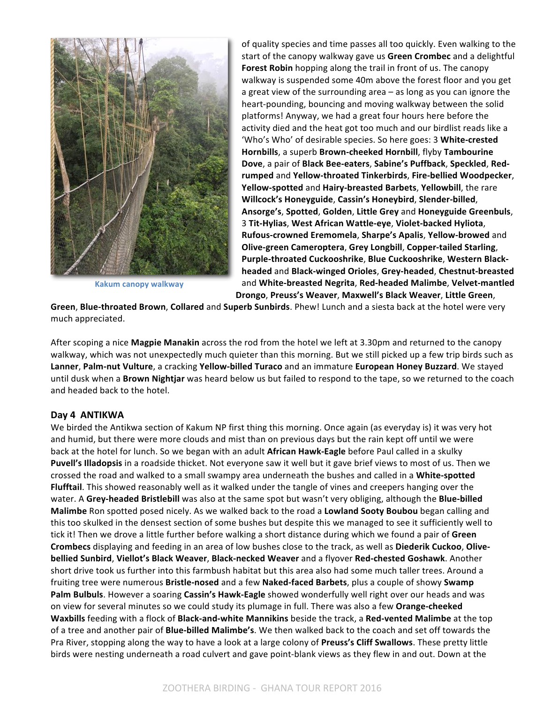

**Kakum canopy walkway**

of quality species and time passes all too quickly. Even walking to the start of the canopy walkway gave us Green Crombec and a delightful Forest Robin hopping along the trail in front of us. The canopy walkway is suspended some 40m above the forest floor and you get a great view of the surrounding area  $-$  as long as you can ignore the heart-pounding, bouncing and moving walkway between the solid platforms! Anyway, we had a great four hours here before the activity died and the heat got too much and our birdlist reads like a 'Who's Who' of desirable species. So here goes: 3 White-crested Hornbills, a superb Brown-cheeked Hornbill, flyby Tambourine **Dove**, a pair of Black Bee-eaters, Sabine's Puffback, Speckled, Red**rumped** and **Yellow-throated Tinkerbirds**, **Fire-bellied Woodpecker**, **Yellow-spotted** and **Hairy-breasted Barbets**, **Yellowbill**, the rare **Willcock's Honeyguide**, **Cassin's Honeybird**, **Slender-billed**, **Ansorge's**, **Spotted**, **Golden**, **Little Grey** and **Honeyguide Greenbuls**, 3 **Tit-Hylias**, **West African Wattle-eye**, **Violet-backed Hyliota**, **Rufous-crowned Eremomela**, **Sharpe's Apalis**, **Yellow-browed** and **Olive-green Cameroptera**, **Grey Longbill**, **Copper-tailed Starling**, Purple-throated Cuckooshrike, Blue Cuckooshrike, Western Black**headed** and **Black-winged Orioles**, **Grey-headed**, **Chestnut-breasted** and **White-breasted Negrita**, **Red-headed Malimbe**, **Velvet-mantled Drongo**, **Preuss's Weaver**, **Maxwell's Black Weaver**, **Little Green**, 

**Green, Blue-throated Brown, Collared** and **Superb Sunbirds**. Phew! Lunch and a siesta back at the hotel were very much appreciated.

After scoping a nice **Magpie Manakin** across the rod from the hotel we left at 3.30pm and returned to the canopy walkway, which was not unexpectedly much quieter than this morning. But we still picked up a few trip birds such as **Lanner, Palm-nut Vulture**, a cracking Yellow-billed Turaco and an immature European Honey Buzzard. We stayed until dusk when a **Brown Nightjar** was heard below us but failed to respond to the tape, so we returned to the coach and headed back to the hotel.

#### **Day 4 ANTIKWA**

We birded the Antikwa section of Kakum NP first thing this morning. Once again (as everyday is) it was very hot and humid, but there were more clouds and mist than on previous days but the rain kept off until we were back at the hotel for lunch. So we began with an adult **African Hawk-Eagle** before Paul called in a skulky Puvell's Illadopsis in a roadside thicket. Not everyone saw it well but it gave brief views to most of us. Then we crossed the road and walked to a small swampy area underneath the bushes and called in a White-spotted **Flufftail**. This showed reasonably well as it walked under the tangle of vines and creepers hanging over the water. A Grey-headed Bristlebill was also at the same spot but wasn't very obliging, although the Blue-billed **Malimbe** Ron spotted posed nicely. As we walked back to the road a **Lowland Sooty Boubou** began calling and this too skulked in the densest section of some bushes but despite this we managed to see it sufficiently well to tick it! Then we drove a little further before walking a short distance during which we found a pair of Green Crombecs displaying and feeding in an area of low bushes close to the track, as well as Diederik Cuckoo, Olive**bellied Sunbird**, **Viellot's Black Weaver**, **Black-necked Weaver** and a flyover **Red-chested Goshawk**. Another short drive took us further into this farmbush habitat but this area also had some much taller trees. Around a fruiting tree were numerous Bristle-nosed and a few Naked-faced Barbets, plus a couple of showy Swamp Palm Bulbuls. However a soaring Cassin's Hawk-Eagle showed wonderfully well right over our heads and was on view for several minutes so we could study its plumage in full. There was also a few Orange-cheeked **Waxbills** feeding with a flock of **Black-and-white Mannikins** beside the track, a Red-vented Malimbe at the top of a tree and another pair of **Blue-billed Malimbe's**. We then walked back to the coach and set off towards the Pra River, stopping along the way to have a look at a large colony of **Preuss's Cliff Swallows**. These pretty little birds were nesting underneath a road culvert and gave point-blank views as they flew in and out. Down at the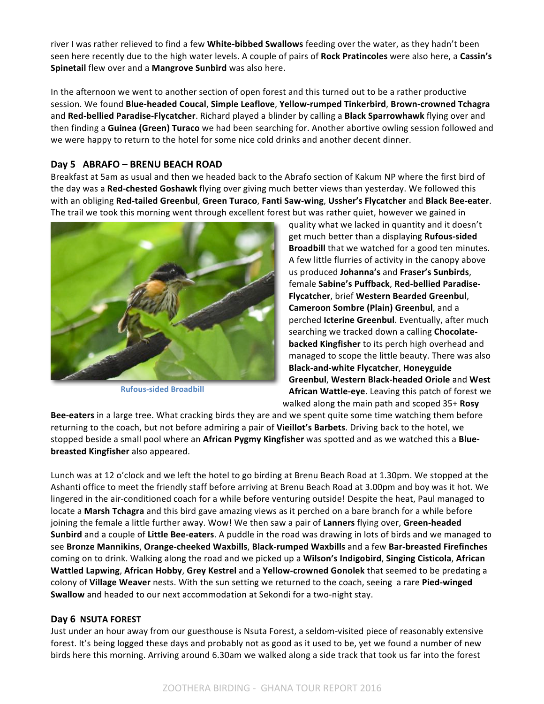river I was rather relieved to find a few White-bibbed Swallows feeding over the water, as they hadn't been seen here recently due to the high water levels. A couple of pairs of **Rock Pratincoles** were also here, a Cassin's Spinetail flew over and a Mangrove Sunbird was also here.

In the afternoon we went to another section of open forest and this turned out to be a rather productive session. We found **Blue-headed Coucal**, **Simple Leaflove**, **Yellow-rumped Tinkerbird**, **Brown-crowned Tchagra** and Red-bellied Paradise-Flycatcher. Richard played a blinder by calling a Black Sparrowhawk flying over and then finding a **Guinea (Green) Turaco** we had been searching for. Another abortive owling session followed and we were happy to return to the hotel for some nice cold drinks and another decent dinner.

#### **Day 5 ABRAFO – BRENU BEACH ROAD**

Breakfast at 5am as usual and then we headed back to the Abrafo section of Kakum NP where the first bird of the day was a Red-chested Goshawk flying over giving much better views than yesterday. We followed this with an obliging **Red-tailed Greenbul**, **Green Turaco**, **Fanti Saw-wing**, **Ussher's Flycatcher** and **Black Bee-eater**. The trail we took this morning went through excellent forest but was rather quiet, however we gained in



**Rufous-sided Broadbill**

quality what we lacked in quantity and it doesn't get much better than a displaying **Rufous-sided Broadbill** that we watched for a good ten minutes. A few little flurries of activity in the canopy above us produced **Johanna's** and **Fraser's Sunbirds**, female Sabine's Puffback, Red-bellied Paradise-**Flycatcher**, brief **Western Bearded Greenbul**, **Cameroon Sombre (Plain) Greenbul**, and a perched **Icterine Greenbul**. Eventually, after much searching we tracked down a calling **Chocolatebacked Kingfisher** to its perch high overhead and managed to scope the little beauty. There was also **Black-and-white Flycatcher**, **Honeyguide Greenbul, Western Black-headed Oriole** and West **African Wattle-eye**. Leaving this patch of forest we

walked along the main path and scoped 35+ **Rosy** 

Bee-eaters in a large tree. What cracking birds they are and we spent quite some time watching them before returning to the coach, but not before admiring a pair of Vieillot's Barbets. Driving back to the hotel, we stopped beside a small pool where an African Pygmy Kingfisher was spotted and as we watched this a Blue**breasted Kingfisher** also appeared.

Lunch was at 12 o'clock and we left the hotel to go birding at Brenu Beach Road at 1.30pm. We stopped at the Ashanti office to meet the friendly staff before arriving at Brenu Beach Road at 3.00pm and boy was it hot. We lingered in the air-conditioned coach for a while before venturing outside! Despite the heat, Paul managed to locate a **Marsh Tchagra** and this bird gave amazing views as it perched on a bare branch for a while before joining the female a little further away. Wow! We then saw a pair of Lanners flying over, Green-headed **Sunbird** and a couple of Little Bee-eaters. A puddle in the road was drawing in lots of birds and we managed to see **Bronze Mannikins**, **Orange-cheeked Waxbills**, **Black-rumped Waxbills** and a few **Bar-breasted Firefinches** coming on to drink. Walking along the road and we picked up a **Wilson's Indigobird, Singing Cisticola, African Wattled Lapwing, African Hobby, Grey Kestrel and a Yellow-crowned Gonolek that seemed to be predating a** colony of Village Weaver nests. With the sun setting we returned to the coach, seeing a rare Pied-winged **Swallow** and headed to our next accommodation at Sekondi for a two-night stay.

#### Day 6 NSUTA FOREST

Just under an hour away from our guesthouse is Nsuta Forest, a seldom-visited piece of reasonably extensive forest. It's being logged these days and probably not as good as it used to be, yet we found a number of new birds here this morning. Arriving around 6.30am we walked along a side track that took us far into the forest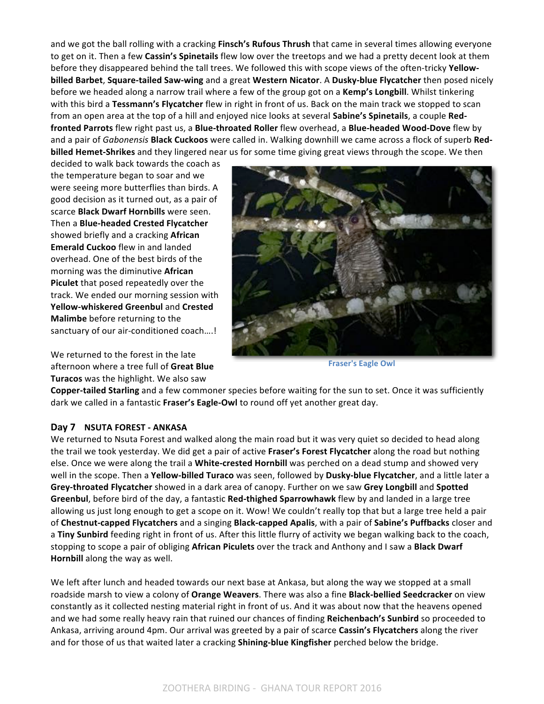and we got the ball rolling with a cracking **Finsch's Rufous Thrush** that came in several times allowing everyone to get on it. Then a few **Cassin's Spinetails** flew low over the treetops and we had a pretty decent look at them before they disappeared behind the tall trees. We followed this with scope views of the often-tricky Yellow**billed Barbet, Square-tailed Saw-wing** and a great Western Nicator. A Dusky-blue Flycatcher then posed nicely before we headed along a narrow trail where a few of the group got on a Kemp's Longbill. Whilst tinkering with this bird a Tessmann's Flycatcher flew in right in front of us. Back on the main track we stopped to scan from an open area at the top of a hill and enjoyed nice looks at several **Sabine's Spinetails**, a couple Redfronted Parrots flew right past us, a Blue-throated Roller flew overhead, a Blue-headed Wood-Dove flew by and a pair of *Gabonensis* **Black Cuckoos** were called in. Walking downhill we came across a flock of superb Red**billed Hemet-Shrikes** and they lingered near us for some time giving great views through the scope. We then

decided to walk back towards the coach as the temperature began to soar and we were seeing more butterflies than birds. A good decision as it turned out, as a pair of scarce **Black Dwarf Hornbills** were seen. Then a **Blue-headed Crested Flycatcher** showed briefly and a cracking **African Emerald Cuckoo** flew in and landed overhead. One of the best birds of the morning was the diminutive **African Piculet** that posed repeatedly over the track. We ended our morning session with **Yellow-whiskered Greenbul** and **Crested Malimbe** before returning to the sanctuary of our air-conditioned coach....!

We returned to the forest in the late afternoon where a tree full of Great Blue **Turacos** was the highlight. We also saw



**Fraser's Eagle Owl** 

**Copper-tailed Starling** and a few commoner species before waiting for the sun to set. Once it was sufficiently dark we called in a fantastic Fraser's Eagle-Owl to round off yet another great day.

#### **Day 7 NSUTA FOREST - ANKASA**

We returned to Nsuta Forest and walked along the main road but it was very quiet so decided to head along the trail we took yesterday. We did get a pair of active **Fraser's Forest Flycatcher** along the road but nothing else. Once we were along the trail a White-crested Hornbill was perched on a dead stump and showed very well in the scope. Then a Yellow-billed Turaco was seen, followed by Dusky-blue Flycatcher, and a little later a Grey-throated Flycatcher showed in a dark area of canopy. Further on we saw Grey Longbill and Spotted **Greenbul**, before bird of the day, a fantastic **Red-thighed Sparrowhawk** flew by and landed in a large tree allowing us just long enough to get a scope on it. Wow! We couldn't really top that but a large tree held a pair of Chestnut-capped Flycatchers and a singing Black-capped Apalis, with a pair of Sabine's Puffbacks closer and a **Tiny Sunbird** feeding right in front of us. After this little flurry of activity we began walking back to the coach, stopping to scope a pair of obliging African Piculets over the track and Anthony and I saw a Black Dwarf **Hornbill** along the way as well.

We left after lunch and headed towards our next base at Ankasa, but along the way we stopped at a small roadside marsh to view a colony of **Orange Weavers**. There was also a fine **Black-bellied Seedcracker** on view constantly as it collected nesting material right in front of us. And it was about now that the heavens opened and we had some really heavy rain that ruined our chances of finding Reichenbach's Sunbird so proceeded to Ankasa, arriving around 4pm. Our arrival was greeted by a pair of scarce Cassin's Flycatchers along the river and for those of us that waited later a cracking **Shining-blue Kingfisher** perched below the bridge.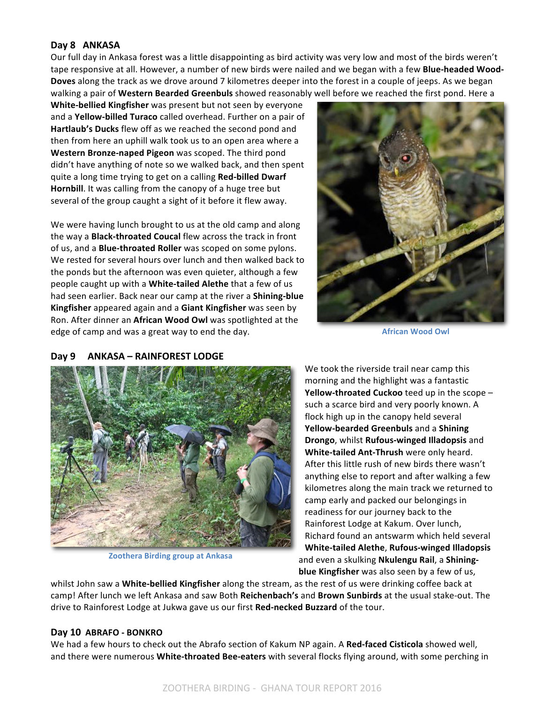#### **Day 8 ANKASA**

Our full day in Ankasa forest was a little disappointing as bird activity was very low and most of the birds weren't tape responsive at all. However, a number of new birds were nailed and we began with a few **Blue-headed Wood-Doves** along the track as we drove around 7 kilometres deeper into the forest in a couple of jeeps. As we began walking a pair of Western Bearded Greenbuls showed reasonably well before we reached the first pond. Here a

**White-bellied Kingfisher** was present but not seen by everyone and a **Yellow-billed Turaco** called overhead. Further on a pair of **Hartlaub's Ducks** flew off as we reached the second pond and then from here an uphill walk took us to an open area where a **Western Bronze-naped Pigeon** was scoped. The third pond didn't have anything of note so we walked back, and then spent quite a long time trying to get on a calling **Red-billed Dwarf Hornbill**. It was calling from the canopy of a huge tree but several of the group caught a sight of it before it flew away.

We were having lunch brought to us at the old camp and along the way a **Black-throated Coucal** flew across the track in front of us, and a **Blue-throated Roller** was scoped on some pylons. We rested for several hours over lunch and then walked back to the ponds but the afternoon was even quieter, although a few people caught up with a White-tailed Alethe that a few of us had seen earlier. Back near our camp at the river a **Shining-blue Kingfisher** appeared again and a **Giant Kingfisher** was seen by Ron. After dinner an African Wood Owl was spotlighted at the edge of camp and was a great way to end the day.



**African Wood Owl**

#### **Day 9 ANKASA – RAINFOREST LODGE**



**Zoothera Birding group at Ankasa**

We took the riverside trail near camp this morning and the highlight was a fantastic **Yellow-throated Cuckoo** teed up in the scope such a scarce bird and very poorly known. A flock high up in the canopy held several Yellow-bearded Greenbuls and a Shining **Drongo**, whilst **Rufous-winged Illadopsis** and **White-tailed Ant-Thrush** were only heard. After this little rush of new birds there wasn't anything else to report and after walking a few kilometres along the main track we returned to camp early and packed our belongings in readiness for our journey back to the Rainforest Lodge at Kakum. Over lunch, Richard found an antswarm which held several **White-tailed Alethe**, **Rufous-winged Illadopsis** and even a skulking Nkulengu Rail, a Shining**blue Kingfisher** was also seen by a few of us,

whilst John saw a **White-bellied Kingfisher** along the stream, as the rest of us were drinking coffee back at camp! After lunch we left Ankasa and saw Both Reichenbach's and Brown Sunbirds at the usual stake-out. The drive to Rainforest Lodge at Jukwa gave us our first **Red-necked Buzzard** of the tour.

#### **Day 10 ABRAFO - BONKRO**

We had a few hours to check out the Abrafo section of Kakum NP again. A Red-faced Cisticola showed well, and there were numerous **White-throated Bee-eaters** with several flocks flying around, with some perching in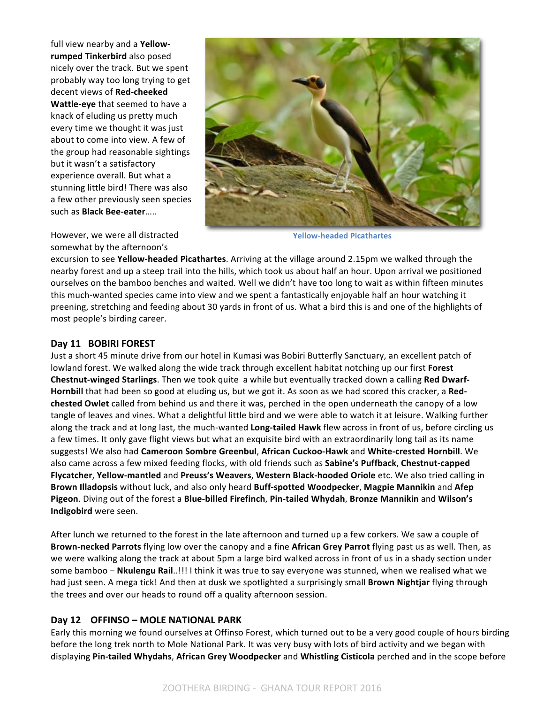full view nearby and a Yellow**rumped Tinkerbird** also posed nicely over the track. But we spent probably way too long trying to get decent views of Red-cheeked **Wattle-eye** that seemed to have a knack of eluding us pretty much every time we thought it was just about to come into view. A few of the group had reasonable sightings but it wasn't a satisfactory experience overall. But what a stunning little bird! There was also a few other previously seen species such as **Black Bee-eater…..** 



However, we were all distracted somewhat by the afternoon's

**Yellow-headed Picathartes**

excursion to see **Yellow-headed Picathartes**. Arriving at the village around 2.15pm we walked through the nearby forest and up a steep trail into the hills, which took us about half an hour. Upon arrival we positioned ourselves on the bamboo benches and waited. Well we didn't have too long to wait as within fifteen minutes this much-wanted species came into view and we spent a fantastically enjoyable half an hour watching it preening, stretching and feeding about 30 yards in front of us. What a bird this is and one of the highlights of most people's birding career.

#### **Day 11 BOBIRI FOREST**

Just a short 45 minute drive from our hotel in Kumasi was Bobiri Butterfly Sanctuary, an excellent patch of lowland forest. We walked along the wide track through excellent habitat notching up our first **Forest Chestnut-winged Starlings**. Then we took quite a while but eventually tracked down a calling Red Dwarf-**Hornbill** that had been so good at eluding us, but we got it. As soon as we had scored this cracker, a Red**chested Owlet** called from behind us and there it was, perched in the open underneath the canopy of a low tangle of leaves and vines. What a delightful little bird and we were able to watch it at leisure. Walking further along the track and at long last, the much-wanted **Long-tailed Hawk** flew across in front of us, before circling us a few times. It only gave flight views but what an exquisite bird with an extraordinarily long tail as its name suggests! We also had **Cameroon Sombre Greenbul**, **African Cuckoo-Hawk** and **White-crested Hornbill**. We also came across a few mixed feeding flocks, with old friends such as **Sabine's Puffback, Chestnut-capped** Flycatcher, Yellow-mantled and Preuss's Weavers, Western Black-hooded Oriole etc. We also tried calling in Brown Illadopsis without luck, and also only heard Buff-spotted Woodpecker, Magpie Mannikin and Afep Pigeon. Diving out of the forest a Blue-billed Firefinch, Pin-tailed Whydah, Bronze Mannikin and Wilson's **Indigobird** were seen.

After lunch we returned to the forest in the late afternoon and turned up a few corkers. We saw a couple of Brown-necked Parrots flying low over the canopy and a fine African Grey Parrot flying past us as well. Then, as we were walking along the track at about 5pm a large bird walked across in front of us in a shady section under some bamboo - Nkulengu Rail..!!! I think it was true to say everyone was stunned, when we realised what we had just seen. A mega tick! And then at dusk we spotlighted a surprisingly small **Brown Nightjar** flying through the trees and over our heads to round off a quality afternoon session.

# **Day 12 OFFINSO – MOLE NATIONAL PARK**

Early this morning we found ourselves at Offinso Forest, which turned out to be a very good couple of hours birding before the long trek north to Mole National Park. It was very busy with lots of bird activity and we began with displaying Pin-tailed Whydahs, African Grey Woodpecker and Whistling Cisticola perched and in the scope before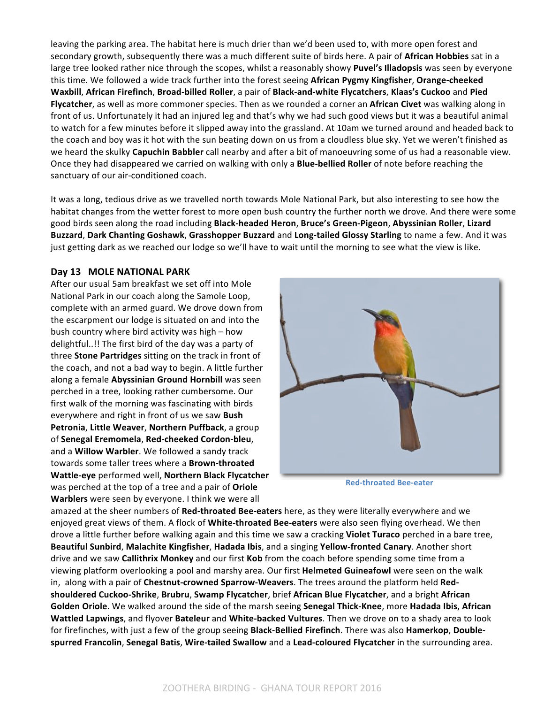leaving the parking area. The habitat here is much drier than we'd been used to, with more open forest and secondary growth, subsequently there was a much different suite of birds here. A pair of **African Hobbies** sat in a large tree looked rather nice through the scopes, whilst a reasonably showy Puvel's Illadopsis was seen by everyone this time. We followed a wide track further into the forest seeing **African Pygmy Kingfisher, Orange-cheeked** Waxbill, African Firefinch, Broad-billed Roller, a pair of Black-and-white Flycatchers, Klaas's Cuckoo and Pied Flycatcher, as well as more commoner species. Then as we rounded a corner an African Civet was walking along in front of us. Unfortunately it had an injured leg and that's why we had such good views but it was a beautiful animal to watch for a few minutes before it slipped away into the grassland. At 10am we turned around and headed back to the coach and boy was it hot with the sun beating down on us from a cloudless blue sky. Yet we weren't finished as we heard the skulky **Capuchin Babbler** call nearby and after a bit of manoeuvring some of us had a reasonable view. Once they had disappeared we carried on walking with only a **Blue-bellied Roller** of note before reaching the sanctuary of our air-conditioned coach.

It was a long, tedious drive as we travelled north towards Mole National Park, but also interesting to see how the habitat changes from the wetter forest to more open bush country the further north we drove. And there were some good birds seen along the road including Black-headed Heron, Bruce's Green-Pigeon, Abyssinian Roller, Lizard Buzzard, Dark Chanting Goshawk, Grasshopper Buzzard and Long-tailed Glossy Starling to name a few. And it was just getting dark as we reached our lodge so we'll have to wait until the morning to see what the view is like.

#### **Day 13 MOLE NATIONAL PARK**

After our usual 5am breakfast we set off into Mole National Park in our coach along the Samole Loop, complete with an armed guard. We drove down from the escarpment our lodge is situated on and into the bush country where bird activity was high – how delightful..!! The first bird of the day was a party of three **Stone Partridges** sitting on the track in front of the coach, and not a bad way to begin. A little further along a female **Abyssinian Ground Hornbill** was seen perched in a tree, looking rather cumbersome. Our first walk of the morning was fascinating with birds everywhere and right in front of us we saw Bush **Petronia, Little Weaver, Northern Puffback, a group** of **Senegal Eremomela**, **Red-cheeked Cordon-bleu**, and a **Willow Warbler**. We followed a sandy track towards some taller trees where a **Brown-throated Wattle-eye** performed well, **Northern Black Flycatcher** was perched at the top of a tree and a pair of **Oriole Warblers** were seen by everyone. I think we were all



**Red-throated Bee-eater**

amazed at the sheer numbers of **Red-throated Bee-eaters** here, as they were literally everywhere and we enjoyed great views of them. A flock of **White-throated Bee-eaters** were also seen flying overhead. We then drove a little further before walking again and this time we saw a cracking **Violet Turaco** perched in a bare tree, Beautiful Sunbird, Malachite Kingfisher, Hadada Ibis, and a singing Yellow-fronted Canary. Another short drive and we saw **Callithrix Monkey** and our first **Kob** from the coach before spending some time from a viewing platform overlooking a pool and marshy area. Our first **Helmeted Guineafowl** were seen on the walk in, along with a pair of Chestnut-crowned Sparrow-Weavers. The trees around the platform held Red**shouldered Cuckoo-Shrike**, **Brubru**, **Swamp Flycatcher**, brief **African Blue Flycatcher**, and a bright **African**  Golden Oriole. We walked around the side of the marsh seeing Senegal Thick-Knee, more Hadada Ibis, African **Wattled Lapwings**, and flyover **Bateleur** and White-backed Vultures. Then we drove on to a shady area to look for firefinches, with just a few of the group seeing Black-Bellied Firefinch. There was also Hamerkop, Double**spurred Francolin, Senegal Batis, Wire-tailed Swallow and a Lead-coloured Flycatcher in the surrounding area.**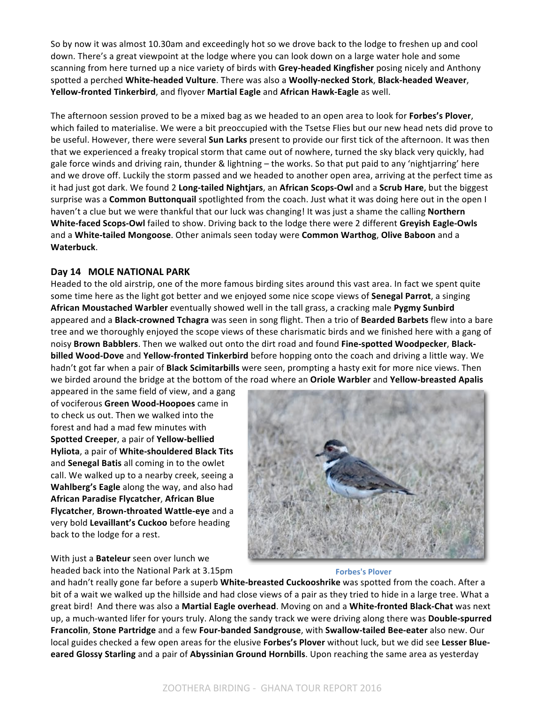So by now it was almost 10.30am and exceedingly hot so we drove back to the lodge to freshen up and cool down. There's a great viewpoint at the lodge where you can look down on a large water hole and some scanning from here turned up a nice variety of birds with Grey-headed Kingfisher posing nicely and Anthony spotted a perched **White-headed Vulture**. There was also a **Woolly-necked Stork**, **Black-headed Weaver**, Yellow-fronted Tinkerbird, and flyover Martial Eagle and African Hawk-Eagle as well.

The afternoon session proved to be a mixed bag as we headed to an open area to look for Forbes's Plover, which failed to materialise. We were a bit preoccupied with the Tsetse Flies but our new head nets did prove to be useful. However, there were several **Sun Larks** present to provide our first tick of the afternoon. It was then that we experienced a freaky tropical storm that came out of nowhere, turned the sky black very quickly, had gale force winds and driving rain, thunder & lightning – the works. So that put paid to any 'nightjarring' here and we drove off. Luckily the storm passed and we headed to another open area, arriving at the perfect time as it had just got dark. We found 2 Long-tailed Nightjars, an African Scops-Owl and a Scrub Hare, but the biggest surprise was a **Common Buttonquail** spotlighted from the coach. Just what it was doing here out in the open I haven't a clue but we were thankful that our luck was changing! It was just a shame the calling **Northern** White-faced Scops-Owl failed to show. Driving back to the lodge there were 2 different Greyish Eagle-Owls and a White-tailed Mongoose. Other animals seen today were Common Warthog, Olive Baboon and a **Waterbuck**.

#### **Day 14 MOLE NATIONAL PARK**

Headed to the old airstrip, one of the more famous birding sites around this vast area. In fact we spent quite some time here as the light got better and we enjoyed some nice scope views of **Senegal Parrot**, a singing African Moustached Warbler eventually showed well in the tall grass, a cracking male Pygmy Sunbird appeared and a **Black-crowned Tchagra** was seen in song flight. Then a trio of Bearded Barbets flew into a bare tree and we thoroughly enjoyed the scope views of these charismatic birds and we finished here with a gang of noisy Brown Babblers. Then we walked out onto the dirt road and found Fine-spotted Woodpecker, Black**billed Wood-Dove** and **Yellow-fronted Tinkerbird** before hopping onto the coach and driving a little way. We hadn't got far when a pair of **Black Scimitarbills** were seen, prompting a hasty exit for more nice views. Then we birded around the bridge at the bottom of the road where an Oriole Warbler and Yellow-breasted Apalis

appeared in the same field of view, and a gang of vociferous Green Wood-Hoopoes came in to check us out. Then we walked into the forest and had a mad few minutes with **Spotted Creeper**, a pair of **Yellow-bellied Hyliota**, a pair of **White-shouldered Black Tits** and **Senegal Batis** all coming in to the owlet call. We walked up to a nearby creek, seeing a **Wahlberg's Eagle** along the way, and also had **African Paradise Flycatcher**, **African Blue Flycatcher**, **Brown-throated Wattle-eye** and a very bold Levaillant's Cuckoo before heading back to the lodge for a rest.

With just a **Bateleur** seen over lunch we headed back into the National Park at 3.15pm



#### **Forbes's Plover**

and hadn't really gone far before a superb White-breasted Cuckooshrike was spotted from the coach. After a bit of a wait we walked up the hillside and had close views of a pair as they tried to hide in a large tree. What a great bird! And there was also a Martial Eagle overhead. Moving on and a White-fronted Black-Chat was next up, a much-wanted lifer for yours truly. Along the sandy track we were driving along there was **Double-spurred Francolin**, **Stone Partridge** and a few **Four-banded Sandgrouse**, with **Swallow-tailed Bee-eater** also new. Our local guides checked a few open areas for the elusive **Forbes's Plover** without luck, but we did see Lesser Blueeared Glossy Starling and a pair of Abyssinian Ground Hornbills. Upon reaching the same area as yesterday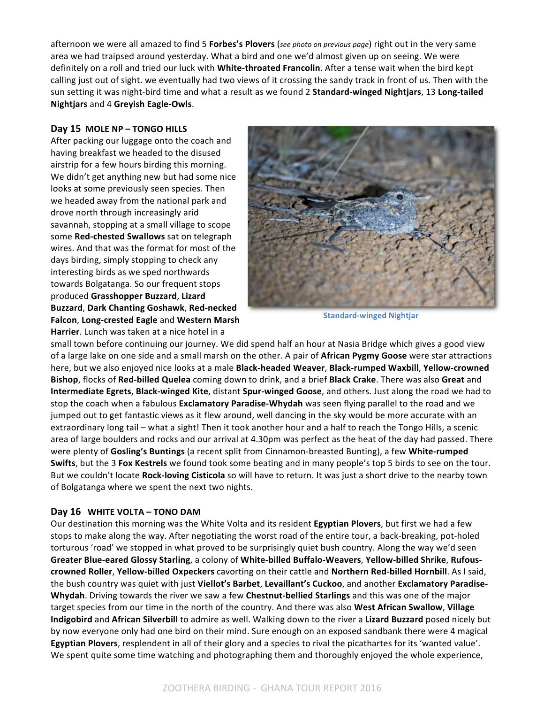afternoon we were all amazed to find 5 **Forbes's Plovers** (*see photo on previous page*) right out in the very same area we had traipsed around yesterday. What a bird and one we'd almost given up on seeing. We were definitely on a roll and tried our luck with White-throated Francolin. After a tense wait when the bird kept calling just out of sight. we eventually had two views of it crossing the sandy track in front of us. Then with the sun setting it was night-bird time and what a result as we found 2 Standard-winged Nightjars, 13 Long-tailed **Nightjars** and 4 **Greyish Eagle-Owls**.

#### **Day 15 MOLE NP – TONGO HILLS**

After packing our luggage onto the coach and having breakfast we headed to the disused airstrip for a few hours birding this morning. We didn't get anything new but had some nice looks at some previously seen species. Then we headed away from the national park and drove north through increasingly arid savannah, stopping at a small village to scope some **Red-chested Swallows** sat on telegraph wires. And that was the format for most of the days birding, simply stopping to check any interesting birds as we sped northwards towards Bolgatanga. So our frequent stops produced **Grasshopper Buzzard**, **Lizard Buzzard**, **Dark Chanting Goshawk**, **Red-necked Falcon, Long-crested Eagle and Western Marsh** Harrier. Lunch was taken at a nice hotel in a



**Standard-winged Nightjar**

small town before continuing our journey. We did spend half an hour at Nasia Bridge which gives a good view of a large lake on one side and a small marsh on the other. A pair of **African Pygmy Goose** were star attractions here, but we also enjoyed nice looks at a male **Black-headed Weaver**, **Black-rumped Waxbill**, Yellow-crowned **Bishop**, flocks of Red-billed Quelea coming down to drink, and a brief Black Crake. There was also Great and **Intermediate Egrets, Black-winged Kite**, distant **Spur-winged Goose**, and others. Just along the road we had to stop the coach when a fabulous **Exclamatory Paradise-Whydah** was seen flying parallel to the road and we jumped out to get fantastic views as it flew around, well dancing in the sky would be more accurate with an extraordinary long tail – what a sight! Then it took another hour and a half to reach the Tongo Hills, a scenic area of large boulders and rocks and our arrival at 4.30pm was perfect as the heat of the day had passed. There were plenty of Gosling's Buntings (a recent split from Cinnamon-breasted Bunting), a few White-rumped **Swifts**, but the 3 Fox Kestrels we found took some beating and in many people's top 5 birds to see on the tour. But we couldn't locate **Rock-loving Cisticola** so will have to return. It was just a short drive to the nearby town of Bolgatanga where we spent the next two nights.

#### **Day 16 WHITE VOLTA – TONO DAM**

Our destination this morning was the White Volta and its resident **Egyptian Plovers**, but first we had a few stops to make along the way. After negotiating the worst road of the entire tour, a back-breaking, pot-holed torturous 'road' we stopped in what proved to be surprisingly quiet bush country. Along the way we'd seen Greater Blue-eared Glossy Starling, a colony of White-billed Buffalo-Weavers, Yellow-billed Shrike, Rufouscrowned Roller, Yellow-billed Oxpeckers cavorting on their cattle and Northern Red-billed Hornbill. As I said, the bush country was quiet with just **Viellot's Barbet, Levaillant's Cuckoo**, and another **Exclamatory Paradise-Whydah**. Driving towards the river we saw a few Chestnut-bellied Starlings and this was one of the major target species from our time in the north of the country. And there was also **West African Swallow**, **Village Indigobird** and African Silverbill to admire as well. Walking down to the river a Lizard Buzzard posed nicely but by now everyone only had one bird on their mind. Sure enough on an exposed sandbank there were 4 magical **Egyptian Plovers**, resplendent in all of their glory and a species to rival the picathartes for its 'wanted value'. We spent quite some time watching and photographing them and thoroughly enjoyed the whole experience,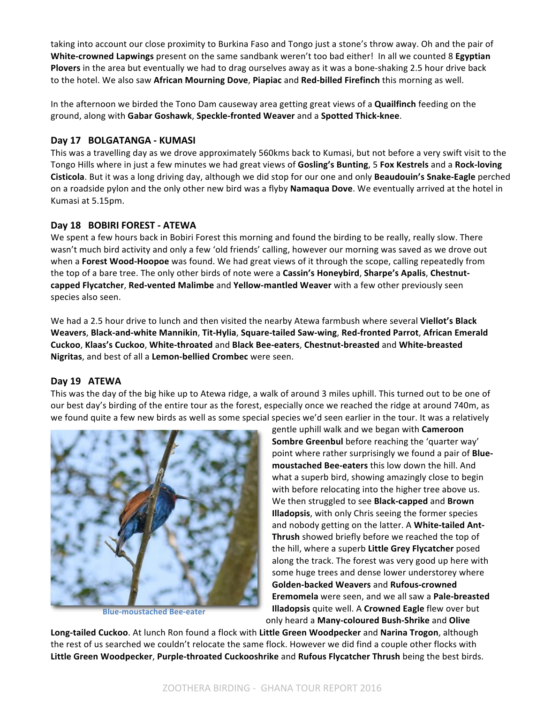taking into account our close proximity to Burkina Faso and Tongo just a stone's throw away. Oh and the pair of **White-crowned Lapwings** present on the same sandbank weren't too bad either! In all we counted 8 **Egyptian Plovers** in the area but eventually we had to drag ourselves away as it was a bone-shaking 2.5 hour drive back to the hotel. We also saw **African Mourning Dove**, **Piapiac** and **Red-billed Firefinch** this morning as well.

In the afternoon we birded the Tono Dam causeway area getting great views of a **Quailfinch** feeding on the ground, along with **Gabar Goshawk**, **Speckle-fronted Weaver** and a **Spotted Thick-knee**.

#### **Day 17 BOLGATANGA - KUMASI**

This was a travelling day as we drove approximately 560kms back to Kumasi, but not before a very swift visit to the Tongo Hills where in just a few minutes we had great views of Gosling's Bunting, 5 Fox Kestrels and a Rock-loving **Cisticola**. But it was a long driving day, although we did stop for our one and only **Beaudouin's Snake-Eagle** perched on a roadside pylon and the only other new bird was a flyby **Namaqua Dove**. We eventually arrived at the hotel in Kumasi at 5.15pm.

#### **Day 18 BOBIRI FOREST - ATEWA**

We spent a few hours back in Bobiri Forest this morning and found the birding to be really, really slow. There wasn't much bird activity and only a few 'old friends' calling, however our morning was saved as we drove out when a **Forest Wood-Hoopoe** was found. We had great views of it through the scope, calling repeatedly from the top of a bare tree. The only other birds of note were a Cassin's Honeybird, Sharpe's Apalis, Chestnutcapped Flycatcher, Red-vented Malimbe and Yellow-mantled Weaver with a few other previously seen species also seen.

We had a 2.5 hour drive to lunch and then visited the nearby Atewa farmbush where several **Viellot's Black** Weavers, Black-and-white Mannikin, Tit-Hylia, Square-tailed Saw-wing, Red-fronted Parrot, African Emerald **Cuckoo**, **Klaas's Cuckoo**, **White-throated** and **Black Bee-eaters**, **Chestnut-breasted** and **White-breasted**  Nigritas, and best of all a Lemon-bellied Crombec were seen.

#### **Day 19 ATEWA**

This was the day of the big hike up to Atewa ridge, a walk of around 3 miles uphill. This turned out to be one of our best day's birding of the entire tour as the forest, especially once we reached the ridge at around 740m, as we found quite a few new birds as well as some special species we'd seen earlier in the tour. It was a relatively



**Blue-moustached Bee-eater**

gentle uphill walk and we began with **Cameroon Sombre Greenbul** before reaching the 'quarter way' point where rather surprisingly we found a pair of **Blue**moustached Bee-eaters this low down the hill. And what a superb bird, showing amazingly close to begin with before relocating into the higher tree above us. We then struggled to see **Black-capped** and **Brown Illadopsis**, with only Chris seeing the former species and nobody getting on the latter. A **White-tailed Ant-Thrush** showed briefly before we reached the top of the hill, where a superb **Little Grey Flycatcher** posed along the track. The forest was very good up here with some huge trees and dense lower understorey where **Golden-backed Weavers** and **Rufous-crowned Eremomela** were seen, and we all saw a Pale-breasted **Illadopsis** quite well. A **Crowned Eagle** flew over but only heard a **Many-coloured Bush-Shrike** and **Olive** 

**Long-tailed Cuckoo**. At lunch Ron found a flock with Little Green Woodpecker and Narina Trogon, although the rest of us searched we couldn't relocate the same flock. However we did find a couple other flocks with Little Green Woodpecker, Purple-throated Cuckooshrike and Rufous Flycatcher Thrush being the best birds.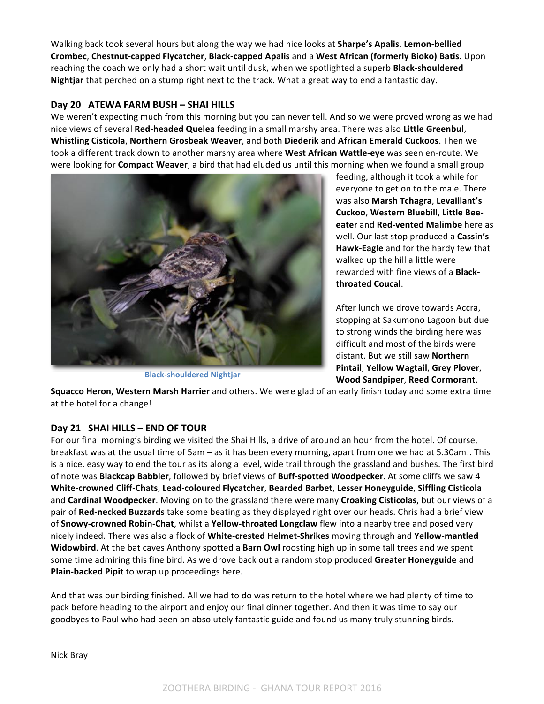Walking back took several hours but along the way we had nice looks at **Sharpe's Apalis**, Lemon-bellied **Crombec**, **Chestnut-capped Flycatcher**, **Black-capped Apalis** and a **West African (formerly Bioko) Batis**. Upon reaching the coach we only had a short wait until dusk, when we spotlighted a superb **Black-shouldered** Nightjar that perched on a stump right next to the track. What a great way to end a fantastic day.

## **Day 20 ATEWA FARM BUSH – SHAI HILLS**

We weren't expecting much from this morning but you can never tell. And so we were proved wrong as we had nice views of several **Red-headed Quelea** feeding in a small marshy area. There was also Little Greenbul, **Whistling Cisticola**, **Northern Grosbeak Weaver**, and both **Diederik** and **African Emerald Cuckoos**. Then we took a different track down to another marshy area where West African Wattle-eye was seen en-route. We were looking for **Compact Weaver**, a bird that had eluded us until this morning when we found a small group



**Black-shouldered Nightjar**

feeding, although it took a while for everyone to get on to the male. There was also **Marsh Tchagra**, **Levaillant's Cuckoo**, **Western Bluebill**, **Little Beeeater** and **Red-vented Malimbe** here as well. Our last stop produced a **Cassin's Hawk-Eagle** and for the hardy few that walked up the hill a little were rewarded with fine views of a **Blackthroated Coucal**.

After lunch we drove towards Accra, stopping at Sakumono Lagoon but due to strong winds the birding here was difficult and most of the birds were distant. But we still saw Northern **Pintail**, **Yellow Wagtail**, **Grey Plover**, **Wood Sandpiper**, **Reed Cormorant**, 

**Squacco Heron, Western Marsh Harrier** and others. We were glad of an early finish today and some extra time at the hotel for a change!

# **Day 21 SHAI HILLS – END OF TOUR**

For our final morning's birding we visited the Shai Hills, a drive of around an hour from the hotel. Of course, breakfast was at the usual time of 5am – as it has been every morning, apart from one we had at 5.30am!. This is a nice, easy way to end the tour as its along a level, wide trail through the grassland and bushes. The first bird of note was **Blackcap Babbler**, followed by brief views of **Buff-spotted Woodpecker**. At some cliffs we saw 4 **White-crowned Cliff-Chats**, **Lead-coloured Flycatcher**, **Bearded Barbet**, **Lesser Honeyguide**, **Siffling Cisticola** and **Cardinal Woodpecker**. Moving on to the grassland there were many **Croaking Cisticolas**, but our views of a pair of Red-necked Buzzards take some beating as they displayed right over our heads. Chris had a brief view of **Snowy-crowned Robin-Chat**, whilst a Yellow-throated Longclaw flew into a nearby tree and posed very nicely indeed. There was also a flock of White-crested Helmet-Shrikes moving through and Yellow-mantled **Widowbird**. At the bat caves Anthony spotted a Barn Owl roosting high up in some tall trees and we spent some time admiring this fine bird. As we drove back out a random stop produced Greater Honeyguide and Plain-backed Pipit to wrap up proceedings here.

And that was our birding finished. All we had to do was return to the hotel where we had plenty of time to pack before heading to the airport and enjoy our final dinner together. And then it was time to say our goodbyes to Paul who had been an absolutely fantastic guide and found us many truly stunning birds.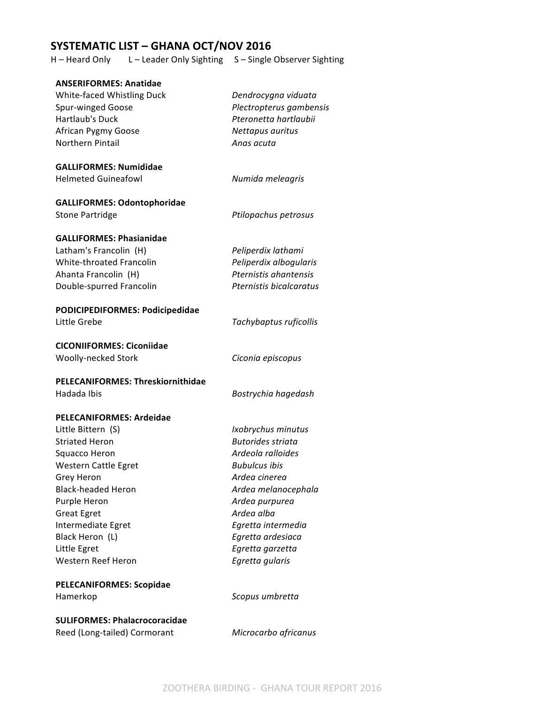# **SYSTEMATIC LIST – GHANA OCT/NOV 2016**

H – Heard Only L – Leader Only Sighting S – Single Observer Sighting

| <b>ANSERIFORMES: Anatidae</b>            |                          |
|------------------------------------------|--------------------------|
| White-faced Whistling Duck               | Dendrocygna viduata      |
| <b>Spur-winged Goose</b>                 | Plectropterus gambensis  |
| Hartlaub's Duck                          | Pteronetta hartlaubii    |
| African Pygmy Goose                      | Nettapus auritus         |
| <b>Northern Pintail</b>                  | Anas acuta               |
| <b>GALLIFORMES: Numididae</b>            |                          |
| <b>Helmeted Guineafowl</b>               | Numida meleagris         |
| <b>GALLIFORMES: Odontophoridae</b>       |                          |
| <b>Stone Partridge</b>                   | Ptilopachus petrosus     |
| <b>GALLIFORMES: Phasianidae</b>          |                          |
| Latham's Francolin (H)                   | Peliperdix lathami       |
| White-throated Francolin                 | Peliperdix albogularis   |
| Ahanta Francolin (H)                     | Pternistis ahantensis    |
| Double-spurred Francolin                 | Pternistis bicalcaratus  |
| PODICIPEDIFORMES: Podicipedidae          |                          |
| Little Grebe                             | Tachybaptus ruficollis   |
| <b>CICONIIFORMES: Ciconiidae</b>         |                          |
| Woolly-necked Stork                      | Ciconia episcopus        |
| <b>PELECANIFORMES: Threskiornithidae</b> |                          |
| Hadada Ibis                              | Bostrychia hagedash      |
| <b>PELECANIFORMES: Ardeidae</b>          |                          |
| Little Bittern (S)                       | Ixobrychus minutus       |
| <b>Striated Heron</b>                    | <b>Butorides striata</b> |
| Squacco Heron                            | Ardeola ralloides        |
| <b>Western Cattle Egret</b>              | <b>Bubulcus ibis</b>     |
| Grey Heron                               | Ardea cinerea            |
| <b>Black-headed Heron</b>                | Ardea melanocephala      |
| Purple Heron                             | Ardea purpurea           |
| <b>Great Egret</b>                       | Ardea alba               |
| Intermediate Egret                       | Egretta intermedia       |
| Black Heron (L)                          | Egretta ardesiaca        |
| Little Egret                             | Egretta garzetta         |
| Western Reef Heron                       | Egretta gularis          |
| <b>PELECANIFORMES: Scopidae</b>          |                          |
| Hamerkop                                 | Scopus umbretta          |
| <b>SULIFORMES: Phalacrocoracidae</b>     |                          |
| Reed (Long-tailed) Cormorant             | Microcarbo africanus     |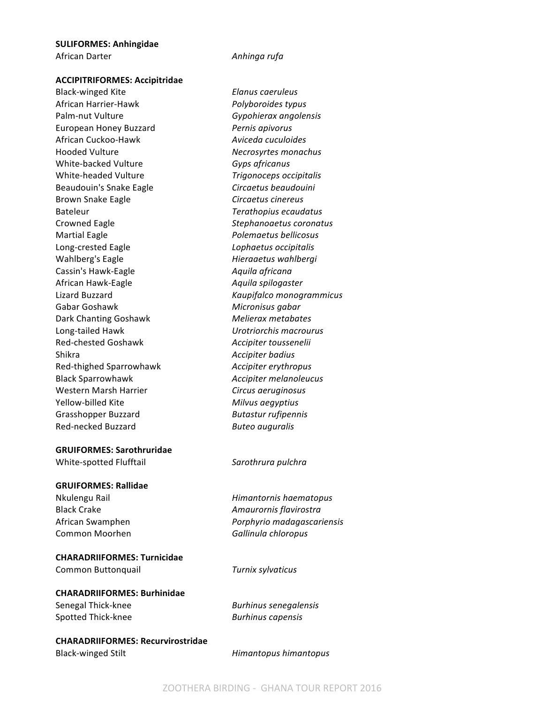# **SULIFORMES: Anhingidae**

African Darter *Anhinga rufa* 

**ACCIPITRIFORMES: Accipitridae**

Black-winged Kite *Elanus caeruleus* African Harrier-Hawk *Polyboroides typus* Palm-nut Vulture *Gypohierax angolensis* European Honey Buzzard *Pernis apivorus* African Cuckoo-Hawk *Aviceda cuculoides* Hooded Vulture *Necrosyrtes monachus* White-backed Vulture **Gyps** africanus White-headed Vulture *Trigonoceps occipitalis* Beaudouin's Snake Eagle **Circaetus** beaudouini Brown Snake Eagle **Circaetus** *Circaetus cinereus* Bateleur *Terathopius ecaudatus* Crowned Eagle *Stephanoaetus coronatus* Martial Eagle *Polemaetus bellicosus* Long-crested Eagle *Lophaetus occipitalis* Wahlberg's Eagle *Hieraaetus wahlbergi* Cassin's Hawk-Eagle **Aguila** africana African Hawk-Eagle *Aquila spilogaster* Lizard Buzzard *Kaupifalco monogrammicus* Gabar Goshawk **Micronisus** gabar Dark Chanting Goshawk **Melierax** metabates Long-tailed Hawk *Urotriorchis macrourus* Red-chested Goshawk **Accipiter** toussenelii Shikra *Accipiter badius Accipiter badius* Red-thighed Sparrowhawk *Accipiter erythropus* Black Sparrowhawk *Accipiter melanoleucus* Western Marsh Harrier *Circus aeruginosus* Yellow-billed Kite *Milvus aegyptius* Grasshopper Buzzard **Butastur** rufipennis Red-necked Buzzard **Butes Buteo** *auguralis* 

#### **GRUIFORMES: Sarothruridae**

White-spotted Flufftail **Sansally Sarothrura** pulchra

#### **GRUIFORMES: Rallidae**

Nkulengu Rail *Himantornis haematopus* Black Crake *Amaurornis flavirostra* African Swamphen *Porphyrio madagascariensis* Common Moorhen **Gallinula** chloropus

#### **CHARADRIIFORMES: Turnicidae**

Common Buttonquail *Turnix sylvaticus*

#### **CHARADRIIFORMES: Burhinidae**

Spotted Thick-knee **Burhinus** capensis

Senegal Thick-knee **Burhinus** senegalensis

**CHARADRIIFORMES: Recurvirostridae** Black-winged Stilt **Himantopus** *Himantopus himantopus*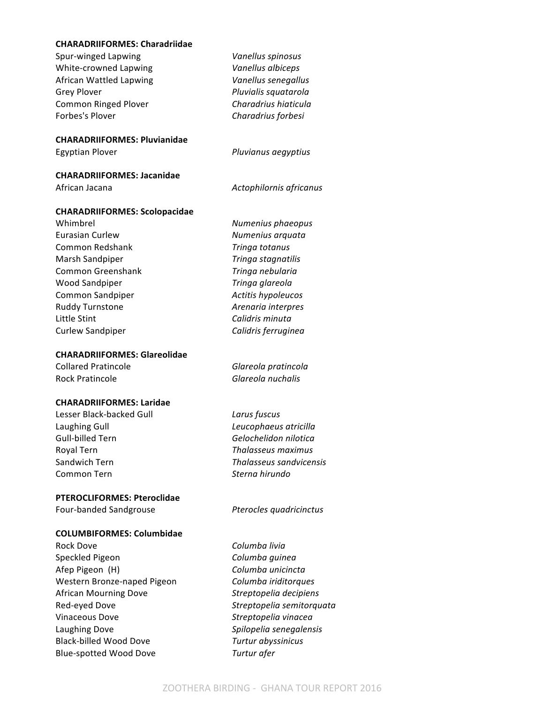#### **CHARADRIIFORMES: Charadriidae**

| Spur-winged Lapwing                  | Vanellus spinosus       |
|--------------------------------------|-------------------------|
| White-crowned Lapwing                | Vanellus albiceps       |
| African Wattled Lapwing              | Vanellus senegallus     |
| <b>Grey Plover</b>                   | Pluvialis squatarola    |
| <b>Common Ringed Plover</b>          | Charadrius hiaticula    |
| Forbes's Plover                      | Charadrius forbesi      |
| <b>CHARADRIIFORMES: Pluvianidae</b>  |                         |
| <b>Egyptian Plover</b>               | Pluvianus aegyptius     |
| <b>CHARADRIIFORMES: Jacanidae</b>    |                         |
| African Jacana                       | Actophilornis africanus |
| <b>CHARADRIIFORMES: Scolopacidae</b> |                         |
| Whimbrel                             | Numenius phaeopus       |
| <b>Furasian Curlew</b>               | Numenius arquata        |
| Common Redshank                      | Tringa totanus          |
| Marsh Sandpiper                      | Tringa stagnatilis      |
| Common Greenshank                    | Tringa nebularia        |
| <b>Wood Sandpiper</b>                | Tringa glareola         |
| Common Sandpiper                     | Actitis hypoleucos      |
| Ruddy Turnstone                      | Arenaria interpres      |
| Little Stint                         | Calidris minuta         |
| <b>Curlew Sandpiper</b>              | Calidris ferruginea     |
| <b>CHARADRIIFORMES: Glareolidae</b>  |                         |
| <b>Collared Pratincole</b>           | Glareola pratincola     |

Rock Pratincole *Glareola nuchalis*

#### **CHARADRIIFORMES: Laridae**

Lesser Black-backed Gull *Larus fuscus* Laughing Gull **Leucophaeus** atricilla Gull-billed Tern **Gelochelidon** nilotica Royal Tern *Thalasseus maximus* Sandwich Tern *Thalasseus sandvicensis* Common Tern *Sterna hirundo* 

#### **PTEROCLIFORMES: Pteroclidae**

#### **COLUMBIFORMES: Columbidae**

Rock Dove **Columba** livia Speckled Pigeon **Columba** *Columba guinea* Afep Pigeon (H) **Columba** unicincta Western Bronze-naped Pigeon *Columba iriditorques* African Mourning Dove *Streptopelia decipiens* Red-eyed Dove *Streptopelia semitorquata* Vinaceous Dove *Streptopelia vinacea* Laughing Dove *Spilopelia* senegalensis Black-billed Wood Dove **Turtur** abyssinicus Blue-spotted Wood Dove **Turtur** afer

# Four-banded Sandgrouse *Pterocles quadricinctus*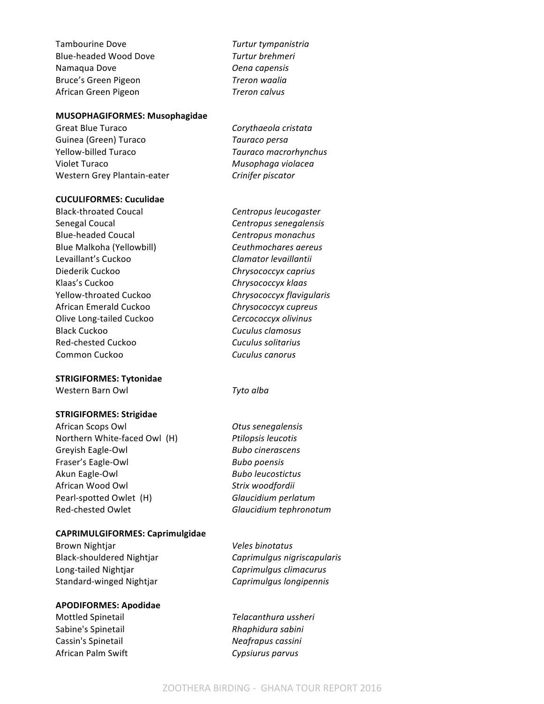Tambourine Dove **Turtur** tympanistria Blue-headed Wood Dove *Turtur brehmeri* Namaqua Dove *Oena capensis* Bruce's Green Pigeon *Treron waalia* African Green Pigeon *Treron calvus*

#### **MUSOPHAGIFORMES: Musophagidae**

Great Blue Turaco **Corythaeola** cristata Guinea (Green) Turaco **Tauraco** *Tauraco persa* Yellow-billed Turaco *Tauraco macrorhynchus* Violet Turaco **Musophaga** violacea Western Grey Plantain-eater **Crinifer** piscator

#### **CUCULIFORMES: Cuculidae**

Black-throated Coucal **Centropus** *Centropus leucogaster* Senegal Coucal **Contropus** Senegalensis Blue-headed Coucal **Centropus** monachus Blue Malkoha (Yellowbill) *Ceuthmochares aereus* Levaillant's Cuckoo **Clamator** *Clamator levaillantii* Diederik Cuckoo *Chrysococcyx caprius* Klaas's Cuckoo **Chrysococcyx** klaas Yellow-throated Cuckoo *Chrysococcyx flavigularis* African Emerald Cuckoo *Chrysococcyx cupreus* Olive Long-tailed Cuckoo *Cercococcyx olivinus* Black Cuckoo *Cuculus clamosus* Red-chested Cuckoo *Cuculus solitarius* Common Cuckoo **Cuculus** canorus

#### **STRIGIFORMES: Tytonidae**

Western Barn Owl **Tyto** alba

#### **STRIGIFORMES: Strigidae**

African Scops Owl *Otus senegalensis* Northern White-faced Owl (H) *Ptilopsis leucotis* Greyish Eagle-Owl **Bubo** *Bubo cinerascens* Fraser's Eagle-Owl **Bubo** poensis Akun Eagle-Owl **Bubo** *Bubo leucostictus Bubo leucostictus* African Wood Owl *Strix woodfordii* Pearl-spotted Owlet (H) **Glaucidium** perlatum Red-chested Owlet **Figure 7 and** *Glaucidium* tephronotum

#### **CAPRIMULGIFORMES: Caprimulgidae**

Brown Nightjar *Veles binotatus* Long-tailed Nightjar *Caprimulgus climacurus* Standard-winged Nightjar **Caprimulgus** longipennis

#### **APODIFORMES: Apodidae**

Sabine's Spinetail *Rhaphidura sabini* Cassin's Spinetail *Neafrapus cassini* African Palm Swift *Cypsiurus parvus* 

Black-shouldered Nightjar **Caprimulgus** nigriscapularis

Mottled Spinetail *Telacanthura ussheri*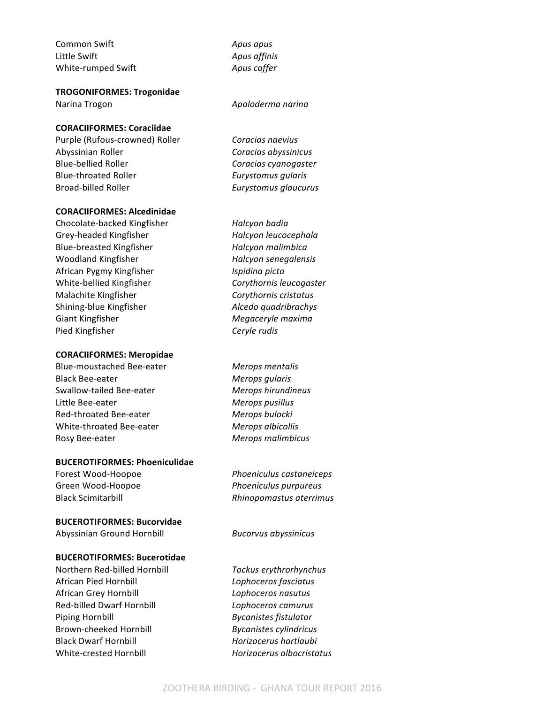Common Swift *Apus apus* Little Swift **Apus** affinis White-rumped Swift **Apus** caffer

**TROGONIFORMES: Trogonidae**

#### **CORACIIFORMES: Coraciidae**

Purple (Rufous-crowned) Roller *Coracias naevius* Abyssinian Roller *Coracias abyssinicus* Blue-bellied Roller *Coracias cyanogaster* Blue-throated Roller *Eurystomus gularis* Broad-billed Roller *Eurystomus qlaucurus* 

#### **CORACIIFORMES: Alcedinidae**

Chocolate-backed Kingfisher *Halcyon badia* Grey-headed Kingfisher *Halcyon leucocephala* Blue-breasted Kingfisher *Halcyon malimbica* Woodland Kingfisher *Halcyon senegalensis* African Pygmy Kingfisher *Ispidina picta* White-bellied Kingfisher *Corythornis leucogaster* Malachite Kingfisher *Corythornis cristatus* Shining-blue Kingfisher **Alcedo** quadribrachys Giant Kingfisher *Megaceryle maxima* Pied Kingfisher **Ceryle** rudis

#### **CORACIIFORMES: Meropidae**

Blue-moustached Bee-eater *Merops mentalis* Black Bee-eater *Merops gularis* Swallow-tailed Bee-eater *Merops hirundineus* Little Bee-eater *Merops pusillus* Red-throated Bee-eater *Merops bulocki* White-throated Bee-eater *Merops albicollis* Rosy Bee-eater *Merops malimbicus* 

#### **BUCEROTIFORMES: Phoeniculidae**

Green Wood-Hoopoe *Phoeniculus purpureus* 

#### **BUCEROTIFORMES: Bucorvidae**

Abyssinian Ground Hornbill *Bucorvus abyssinicus*

#### **BUCEROTIFORMES: Bucerotidae**

Northern Red-billed Hornbill *Tockus erythrorhynchus* African Pied Hornbill *Lophoceros fasciatus* African Grey Hornbill *Lophoceros nasutus* Red-billed Dwarf Hornbill *Lophoceros camurus* Piping Hornbill **Bycanistes** fistulator Brown-cheeked Hornbill *Bycanistes cylindricus* Black Dwarf Hornbill *Horizocerus hartlaubi* White-crested Hornbill *Horizocerus albocristatus*

Narina Trogon *Apaloderma narina* 

Forest Wood-Hoopoe *Phoeniculus castaneiceps* Black Scimitarbill **Rhinopomastus** aterrimus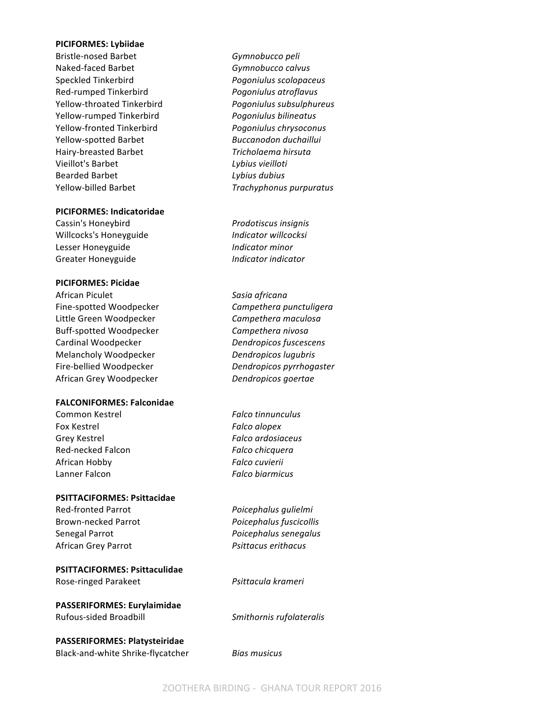#### **PICIFORMES: Lybiidae**

Bristle-nosed Barbet **Gymnobucco** peli Naked-faced Barbet **Gymnobucco** calvus Speckled Tinkerbird *Pogoniulus scolopaceus* Red-rumped Tinkerbird *Pogoniulus atroflavus* Yellow-throated Tinkerbird *Pogoniulus subsulphureus* Yellow-rumped Tinkerbird *Pogoniulus bilineatus* Yellow-fronted Tinkerbird *Pogoniulus chrysoconus* Yellow-spotted Barbet *Buccanodon duchaillui* Hairy-breasted Barbet *Tricholaema hirsuta* Vieillot's Barbet *Lybius vieilloti* Bearded Barbet *Lybius dubius* Yellow-billed Barbet *Trachyphonus purpuratus* 

#### **PICIFORMES: Indicatoridae**

Cassin's Honeybird *Prodotiscus insignis* Willcocks's Honeyguide *Indicator willcocksi* Lesser Honeyguide *Indicator minor* Greater Honeyguide *Indicator indicator* 

#### **PICIFORMES: Picidae**

African Piculet *Sasia africana* Fine-spotted Woodpecker **Campethera** punctuligera Little Green Woodpecker **Campethera** maculosa Buff-spotted Woodpecker **Campethera** nivosa Cardinal Woodpecker **Dendropicos** fuscescens Melancholy Woodpecker *Dendropicos lugubris* Fire-bellied Woodpecker *Dendropicos pyrrhogaster* African Grey Woodpecker *Dendropicos goertae*

#### **FALCONIFORMES: Falconidae**

Common Kestrel *Falco tinnunculus* Fox Kestrel *Falco alopex* Grey Kestrel **Falco** ardosiaceus Red-necked Falcon *Falco Falco Falco Falco Falco Falco Falco Falco Falco Falco Falco Falco Falco Falco Falco Falco Falco Falco Falco Falco Falco Falco Falco Falco Falco F* African Hobby *Falco cuvierii* Lanner Falcon **Falco Falco** *Falco biarmicus* 

#### **PSITTACIFORMES: Psittacidae**

Red-fronted Parrot *Poicephalus qulielmi* African Grey Parrot *Psittacus erithacus*

#### **PSITTACIFORMES: Psittaculidae**

Rose-ringed Parakeet *Psittacula krameri*

**PASSERIFORMES: Eurylaimidae** Rufous-sided Broadbill **Smithornis** rufolateralis

**PASSERIFORMES: Platysteiridae** Black-and-white Shrike-flycatcher *Bias musicus*

Brown-necked Parrot *Poicephalus fuscicollis* Senegal Parrot *Poicephalus senegalus*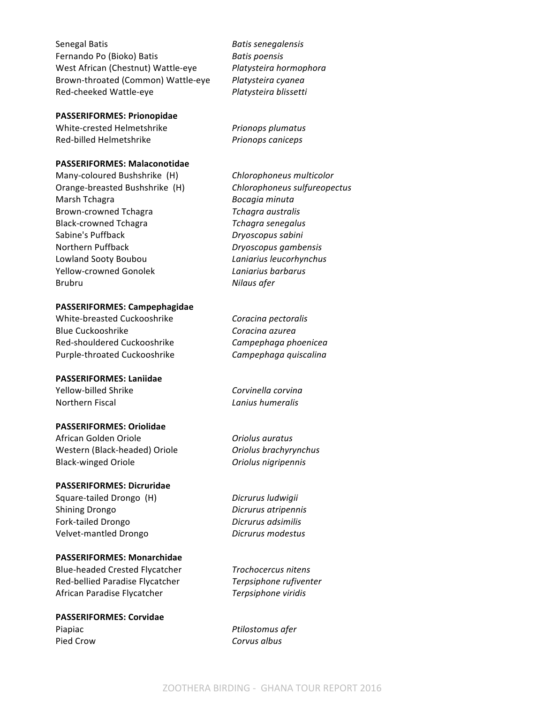Senegal Batis **Batis Batis** *Batis senegalensis* Fernando Po (Bioko) Batis *Batis poensis* West African (Chestnut) Wattle-eye *Platysteira hormophora* Brown-throated (Common) Wattle-eye Platysteira cyanea Red-cheeked Wattle-eye *Platysteira blissetti* 

#### **PASSERIFORMES: Prionopidae**

White-crested Helmetshrike *Prionops plumatus* Red-billed Helmetshrike *Prionops caniceps* 

#### **PASSERIFORMES: Malaconotidae**

Many-coloured Bushshrike (H) *Chlorophoneus multicolor* Orange-breasted Bushshrike (H) *Chlorophoneus sulfureopectus* Marsh Tchagra *Bocagia minuta* Brown-crowned Tchagra *Tchagra australis* Black-crowned Tchagra *Tchagra senegalus* Sabine's Puffback *Dryoscopus sabini* Northern Puffback *Dryoscopus gambensis* Lowland Sooty Boubou *Laniarius leucorhynchus* Yellow-crowned Gonolek *Laniarius barbarus* Brubru *Nilaus afer* 

#### **PASSERIFORMES: Campephagidae**

White-breasted Cuckooshrike **Coracina** pectoralis Blue Cuckooshrike *Coracina azurea* Red-shouldered Cuckooshrike **Campephaga** phoenicea Purple-throated Cuckooshrike **Campephaga** quiscalina

#### **PASSERIFORMES: Laniidae**

Yellow-billed Shrike *Corvinella corvina* **Northern Fiscal** *Lanius humeralis* 

#### **PASSERIFORMES: Oriolidae**

African Golden Oriole *Oriolus auratus* Western (Black-headed) Oriole **Oriolal Oriolus** brachyrynchus Black-winged Oriole *Oriolus nigripennis* 

#### **PASSERIFORMES: Dicruridae**

Square-tailed Drongo (H) *Dicrurus ludwigii* Shining Drongo *Dicrurus atripennis* Fork-tailed Drongo *Dicrurus adsimilis* Velvet-mantled Drongo *Dicrurus modestus*

#### **PASSERIFORMES: Monarchidae**

Blue-headed Crested Flycatcher *Trochocercus nitens* Red-bellied Paradise Flycatcher **Terpsiphone** rufiventer African Paradise Flycatcher *Terpsiphone viridis*

**PASSERIFORMES: Corvidae** Piapiac *Piapiac Ptilostomus afer* Pied Crow **Corvus** albus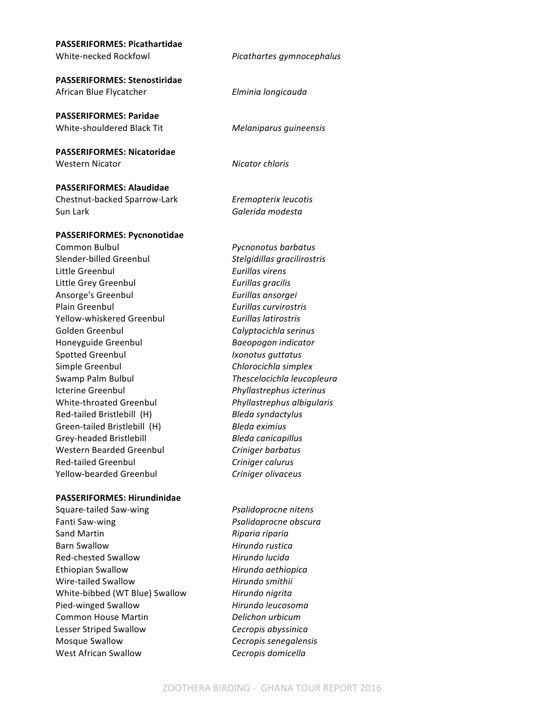| <b>PASSERIFORMES: Picathartidae</b><br>White-necked Rockfowl | Picathartes gymnocephalus   |
|--------------------------------------------------------------|-----------------------------|
|                                                              |                             |
| <b>PASSERIFORMES: Stenostiridae</b>                          |                             |
| African Blue Flycatcher                                      | Elminia longicauda          |
| <b>PASSERIFORMES: Paridae</b>                                |                             |
| White-shouldered Black Tit                                   | Melaniparus guineensis      |
|                                                              |                             |
| <b>PASSERIFORMES: Nicatoridae</b>                            |                             |
| <b>Western Nicator</b>                                       | Nicator chloris             |
| <b>PASSERIFORMES: Alaudidae</b>                              |                             |
| Chestnut-backed Sparrow-Lark                                 | Eremopterix leucotis        |
| Sun Lark                                                     | Galerida modesta            |
|                                                              |                             |
| <b>PASSERIFORMES: Pycnonotidae</b>                           |                             |
| <b>Common Bulbul</b>                                         | Pycnonotus barbatus         |
| Slender-billed Greenbul                                      | Stelgidillas gracilirostris |
| Little Greenbul                                              | Eurillas virens             |
| Little Grey Greenbul                                         | Eurillas gracilis           |
| Ansorge's Greenbul                                           | Eurillas ansorgei           |
| Plain Greenbul                                               | Eurillas curvirostris       |
| Yellow-whiskered Greenbul                                    | Eurillas latirostris        |
| Golden Greenbul                                              | Calyptocichla serinus       |
| Honeyguide Greenbul                                          | Baeopogon indicator         |
| <b>Spotted Greenbul</b>                                      | Ixonotus guttatus           |
| Simple Greenbul                                              | Chlorocichla simplex        |
| Swamp Palm Bulbul                                            | Thescelocichla leucopleura  |
| <b>Icterine Greenbul</b>                                     | Phyllastrephus icterinus    |
| White-throated Greenbul                                      | Phyllastrephus albigularis  |
| Red-tailed Bristlebill (H)                                   | Bleda syndactylus           |
| Green-tailed Bristlebill (H)                                 | <b>Bleda</b> eximius        |
| Grey-headed Bristlebill                                      | <b>Bleda canicapillus</b>   |
| <b>Western Bearded Greenbul</b>                              | Criniger barbatus           |
| <b>Red-tailed Greenbul</b>                                   | Criniger calurus            |
| Yellow-bearded Greenbul                                      | Criniger olivaceus          |
|                                                              |                             |

#### **PASSERIFORMES: Hirundinidae**

Fanti Saw-wing *Psalidoprocne Psalidoprocne obscura* Sand Martin *Riparia riparia* Barn Swallow **Hirundo** rustica Red-chested Swallow **Hirundo** lucida Ethiopian Swallow **Hirundo** aethiopica Wire-tailed Swallow **Hirundo** smithii White-bibbed (WT Blue) Swallow *Hirundo nigrita* Pied-winged Swallow **Hirundo leucosoma Common House Martin Delichon urbicum** Lesser Striped Swallow **Cecropis** abyssinica Mosque Swallow **Cecropis** senegalensis West African Swallow **Cecropis** domicella

Square-tailed Saw-wing *Psalidoprocne nitens*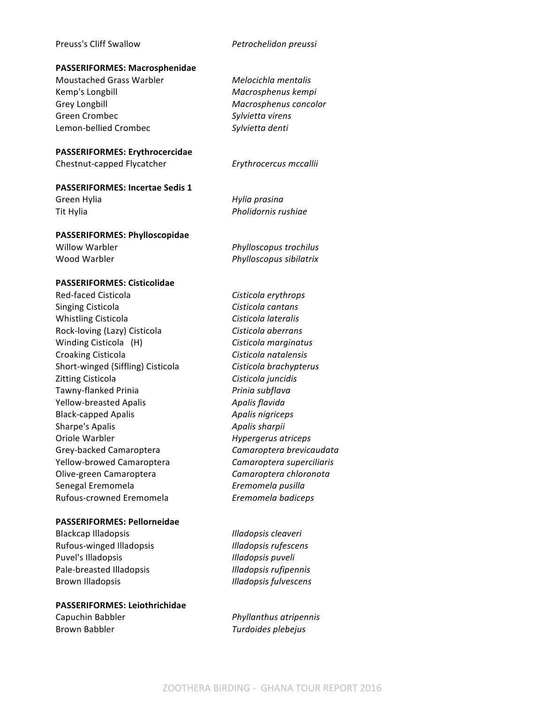Preuss's Cliff Swallow *Petrochelidon preussi* 

#### **PASSERIFORMES: Macrosphenidae**

Moustached Grass Warbler *Melocichla mentalis* Kemp's Longbill **Macrosphenus** kempi Grey Longbill **Grey Longbill Grey Longbill** Green Crombec *Sylvietta virens* Lemon-bellied Crombec *Sylvietta denti* 

#### **PASSERIFORMES: Erythrocercidae**

Chestnut-capped Flycatcher *Erythrocercus mccallii*

**PASSERIFORMES: Incertae Sedis 1** 

Green Hylia *Hylia prasina* Tit Hylia *Pholidornis rushiae* 

#### **PASSERIFORMES: Phylloscopidae**

**PASSERIFORMES: Cisticolidae**

Willow Warbler *Phylloscopus trochilus* Wood Warbler *Phylloscopus sibilatrix* 

## Red-faced Cisticola *Cisticola Cisticola erythrops* Singing Cisticola **Cisticola** *Cisticola cantans* Whistling Cisticola **Cisticola Cisticola Cisticola Cisticola Cisticola Cisticola** Rock-loving (Lazy) Cisticola *Cisticola <i>Cisticola aberrans* Winding Cisticola (H) Cisticola marginatus Croaking Cisticola *Cisticola natalensis* Short-winged (Siffling) Cisticola *Cisticola brachypterus* Zitting Cisticola *Cisticola Cisticola juncidis* Tawny-flanked Prinia *Prinia subflava* Yellow-breasted Apalis *Apalis flavida* Black-capped Apalis *Apalis Apalis nigriceps* **Sharpe's Apalis Apalis** *Apalis sharpii* Oriole Warbler *Hypergerus atriceps* Grey-backed Camaroptera **Camaroptera** *Camaroptera brevicaudata* Yellow-browed Camaroptera *Camaroptera superciliaris* Olive-green Camaroptera *Camaroptera chloronota* Senegal Eremomela *Eremomela pusilla* Rufous-crowned Eremomela *Eremomela badiceps*

#### **PASSERIFORMES: Pellorneidae**

Blackcap Illadopsis *Illadopsis cleaveri* Rufous-winged Illadopsis **Illamical Illamical Illadopsis** rufescens Puvel's Illadopsis *Illadopsis Illadopsis puveli* Pale-breasted Illadopsis **Illamical International Illadopsis** *rufipennis* Brown Illadopsis *Illadopsis fulvescens* 

#### **PASSERIFORMES: Leiothrichidae**

Capuchin Babbler *Phyllanthus atripennis* Brown Babbler *Turdoides plebejus*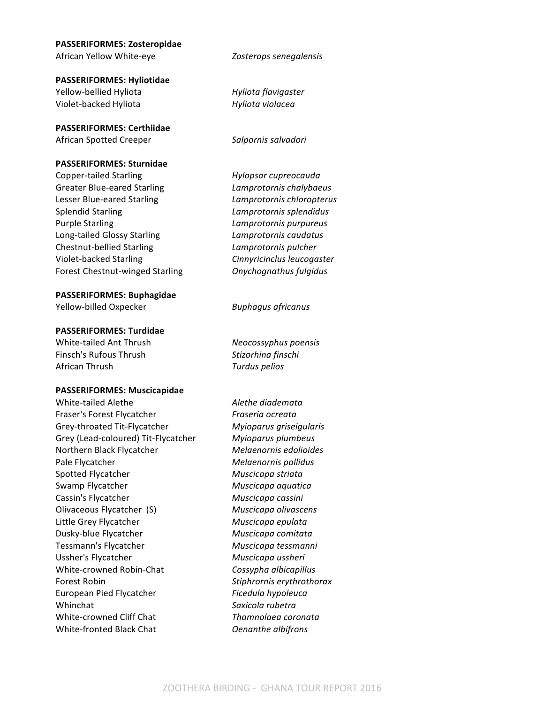# **PASSERIFORMES: Zosteropidae**

**PASSERIFORMES: Hyliotidae** Yellow-bellied Hyliota *Hyliota flavigaster* Violet-backed Hyliota *Hyliota violacea*

**PASSERIFORMES: Certhiidae**

African Spotted Creeper **Salpornis** salvadori

## **PASSERIFORMES: Sturnidae**

Copper-tailed Starling *Hylopsar cupreocauda* Greater Blue-eared Starling *Lamprotornis chalybaeus* Lesser Blue-eared Starling **Lamprotornis** chloropterus Splendid Starling *Lamprotornis splendidus* Purple Starling *Lamprotornis purpureus* Long-tailed Glossy Starling **Lamprotornis** caudatus Chestnut-bellied Starling *Lamprotornis pulcher* Violet-backed Starling *Cinnyricinclus leucogaster* Forest Chestnut-winged Starling **Changely** Onychognathus fulgidus

**PASSERIFORMES: Buphagidae** 

Yellow-billed Oxpecker *Buphagus africanus*

#### **PASSERIFORMES: Turdidae**

White-tailed Ant Thrush *Neocossyphus poensis* Finsch's Rufous Thrush **Stizorhina** finschi African Thrush *Turdus pelios* 

#### **PASSERIFORMES: Muscicapidae**

White-tailed Alethe **Aletherical Contracts** Alethe diademata Fraser's Forest Flycatcher *Fraseria ocreata* Grey-throated Tit-Flycatcher *Myioparus griseigularis* Grey (Lead-coloured) Tit-Flycatcher *Myioparus plumbeus* Northern Black Flycatcher **Melaenornis** edolioides Pale Flycatcher **Melaenornis** pallidus Spotted Flycatcher *Muscicapa striata* Swamp Flycatcher **Muscicapa** aquatica Cassin's Flycatcher **Muscicapa** cassini Olivaceous Flycatcher (S) *Muscicapa olivascens* Little Grey Flycatcher **Muscicapa** epulata Dusky-blue Flycatcher **Muscicapa** comitata Tessmann's Flycatcher **Muscicapa** tessmanni Ussher's Flycatcher **Muscicapa** ussheri White-crowned Robin-Chat *Cossypha albicapillus* Forest Robin *Stiphrornis erythrothorax* European Pied Flycatcher *Ficedula hypoleuca* Whinchat *Saxicola* rubetra White-crowned Cliff Chat **Thamnolaea** coronata White-fronted Black Chat *Oenanthe albifrons*

African Yellow White-eye *Zosterops senegalensis*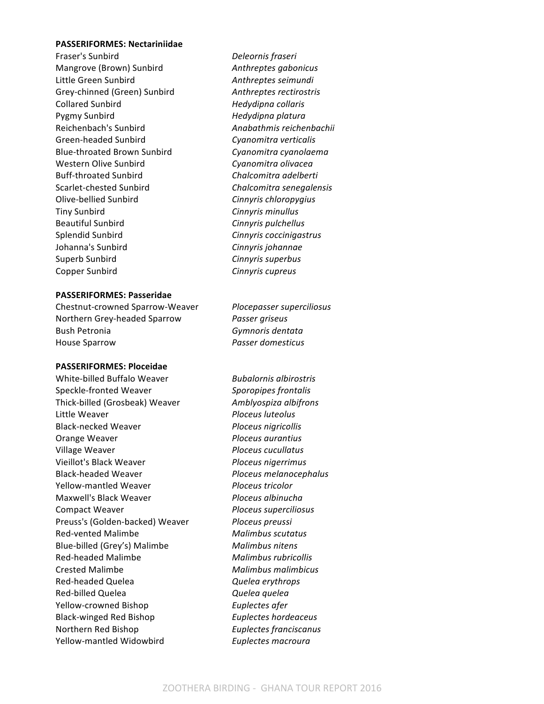#### **PASSERIFORMES: Nectariniidae**

**Fraser's Sunbird** *Deleornis fraseri* Mangrove (Brown) Sunbird **Anthreptes** gabonicus Little Green Sunbird **Anthreptes** seimundi Grey-chinned (Green) Sunbird **Anthreptes rectirostris** Collared Sunbird *Hedydipna collaris* Pygmy Sunbird *Hedydipna platura* Reichenbach's Sunbird **Anabathmis** reichenbachii Green-headed Sunbird **Cyanomitra** verticalis Blue-throated Brown Sunbird *Cyanomitra cyanolaema* Western Olive Sunbird **Cyanomitra** olivacea Buff-throated Sunbird **Chalcomitra** adelberti Scarlet-chested Sunbird **Chalcomitra** senegalensis Olive-bellied Sunbird *Cinnyris chloropygius* **Tiny Sunbird Cinnyris** *Cinnyris minullus* Beautiful Sunbird **Cinnyris** pulchellus Splendid Sunbird **Cinnyris** coccinigastrus Johanna's Sunbird **Cinnyris** *Cinnyris johannae* Superb Sunbird **Cinnyris** superbus Copper Sunbird **Cinnyris** *Cinnyris cupreus* 

#### **PASSERIFORMES: Passeridae**

Chestnut-crowned Sparrow-Weaver *Plocepasser superciliosus* Northern Grey-headed Sparrow *Passer griseus* Bush Petronia *Gymnoris dentata* House Sparrow *Passer domesticus* 

#### **PASSERIFORMES: Ploceidae**

White-billed Buffalo Weaver *Bubalornis albirostris* Speckle-fronted Weaver **Sporopipes** frontalis Thick-billed (Grosbeak) Weaver *Amblyospiza albifrons* Little Weaver *Ploceus luteolus* Black-necked Weaver *Ploceus nigricollis* Orange Weaver *Ploceus aurantius* Village Weaver *Ploceus cucullatus* Vieillot's Black Weaver *Ploceus nigerrimus* Black-headed Weaver *Ploceus melanocephalus* Yellow-mantled Weaver *Ploceus tricolor* Maxwell's Black Weaver *Ploceus albinucha* **Compact Weaver**  *Ploceus superciliosus* Preuss's (Golden-backed) Weaver *Ploceus preussi* Red-vented Malimbe *Malimbus scutatus* Blue-billed (Grey's) Malimbe *Malimbus nitens* Red-headed Malimbe *Malimbus rubricollis* Crested Malimbe *Malimbus malimbicus* Red-headed Quelea *Quelea Quelea erythrops* Red-billed Quelea *Quelea quelea* Yellow-crowned Bishop *Euplectes afer* Black-winged Red Bishop *Euplectes hordeaceus* Northern Red Bishop *Euplectes franciscanus* Yellow-mantled Widowbird *Euplectes macroura*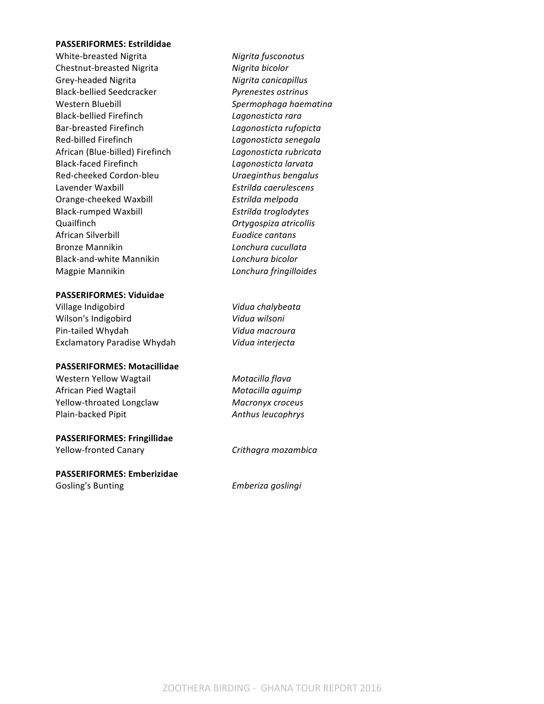#### **PASSERIFORMES: Estrildidae**

White-breasted Nigrita *Nigrita fusconotus* Chestnut-breasted Nigrita *Nigrita bicolor* Grey-headed Nigrita *Nigrita canicapillus* Black-bellied Seedcracker *Pyrenestes ostrinus* Western Bluebill *Spermophaga haematina* Black-bellied Firefinch *Lagonosticta rara* Bar-breasted Firefinch *Lagonosticta rufopicta* Red-billed Firefinch *Lagonosticta senegala* African (Blue-billed) Firefinch *Lagonosticta rubricata* Black-faced Firefinch *Lagonosticta larvata* Red-cheeked Cordon-bleu *Uraeginthus bengalus* Lavender Waxbill *Estrilda caerulescens* Orange-cheeked Waxbill *Estrilda melpoda* Black-rumped Waxbill *Estrilda troglodytes* Quailfinch *Ortygospiza atricollis* African Silverbill *Euodice cantans* **Bronze Mannikin** *Lonchurg cucullatg* Black-and-white Mannikin *Lonchura bicolor* Magpie Mannikin *Lonchura fringilloides*

#### **PASSERIFORMES: Viduidae**

Village Indigobird **Vidua** *Vidua chalybeata* Wilson's Indigobird **Vidua** wilsoni Pin-tailed Whydah *Vidua macroura* Exclamatory Paradise Whydah *Vidua interjecta* 

#### **PASSERIFORMES: Motacillidae**

Western Yellow Wagtail **Motacilla** *Motacilla flava* African Pied Wagtail **Motacilla** aguimp Yellow-throated Longclaw *Macronyx croceus* Plain-backed Pipit **Anthus** *Anthus leucophrys* 

#### **PASSERIFORMES: Fringillidae**

Yellow-fronted Canary **Crithagra** mozambica

# **PASSERIFORMES: Emberizidae**

Gosling's Bunting **Emberiza** goslingi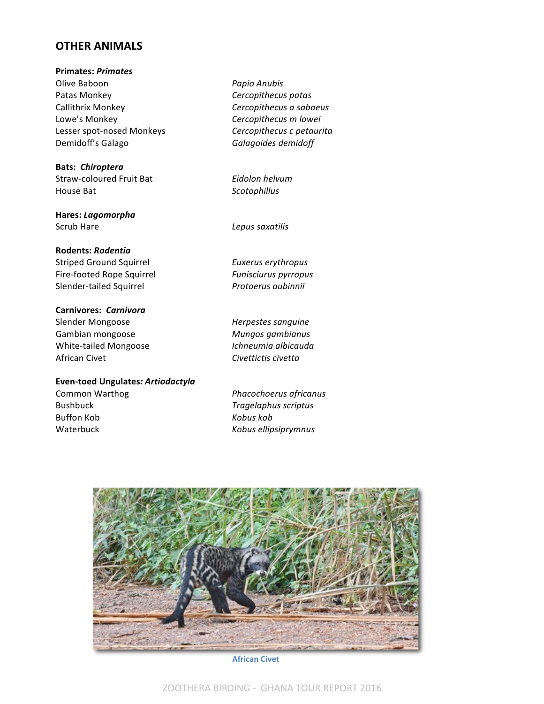# **OTHER ANIMALS**

**Primates:** *Primates* Olive Baboon *Papio Anubis* Patas Monkey *Cercopithecus patas* Callithrix Monkey **Cercopithecus** a sabaeus Lowe's Monkey **Cercopithecus** *m* lowei Lesser spot-nosed Monkeys **Cercopithecus** c petaurita Demidoff's Galago **Balagoides** *Galagoides demidoff* 

**Bats:** *Chiroptera* Straw-coloured Fruit Bat **Eidolon** helvum House Bat *Scotophillus*

**Hares:** *Lagomorpha* Scrub Hare *Lepus saxatilis* 

#### **Rodents:** *Rodentia*

Striped Ground Squirrel **EUXER EUXER** Euxerus erythropus Fire-footed Rope Squirrel **Funiscianal Funisciurus** pyrropus Slender-tailed Squirrel *Protoerus aubinnii* 

**Carnivores:** *Carnivora*

Gambian mongoose *Mungos gambianus* White-tailed Mongoose *Ichneumia albicauda* African Civet **Civettictis** *Civettictis civetta* 

#### **Even-toed Ungulates***: Artiodactyla*

Buffon Kob **Kobus** *Kobus kob* 

Slender Mongoose *Herpestes sanguine* 

Common Warthog *Phacochoerus africanus* Bushbuck *Tragelaphus scriptus* Waterbuck **Waterbuck Kobus** *Kobus ellipsiprymnus* 



**African Civet**